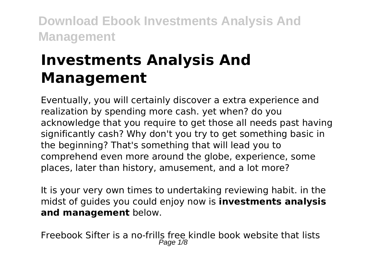# **Investments Analysis And Management**

Eventually, you will certainly discover a extra experience and realization by spending more cash. yet when? do you acknowledge that you require to get those all needs past having significantly cash? Why don't you try to get something basic in the beginning? That's something that will lead you to comprehend even more around the globe, experience, some places, later than history, amusement, and a lot more?

It is your very own times to undertaking reviewing habit. in the midst of guides you could enjoy now is **investments analysis and management** below.

Freebook Sifter is a no-frills free kindle book website that lists Page 1/8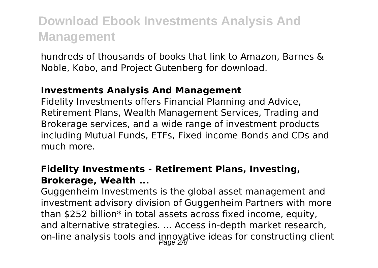hundreds of thousands of books that link to Amazon, Barnes & Noble, Kobo, and Project Gutenberg for download.

### **Investments Analysis And Management**

Fidelity Investments offers Financial Planning and Advice, Retirement Plans, Wealth Management Services, Trading and Brokerage services, and a wide range of investment products including Mutual Funds, ETFs, Fixed income Bonds and CDs and much more.

### **Fidelity Investments - Retirement Plans, Investing, Brokerage, Wealth ...**

Guggenheim Investments is the global asset management and investment advisory division of Guggenheim Partners with more than \$252 billion\* in total assets across fixed income, equity, and alternative strategies. ... Access in-depth market research, on-line analysis tools and innoyative ideas for constructing client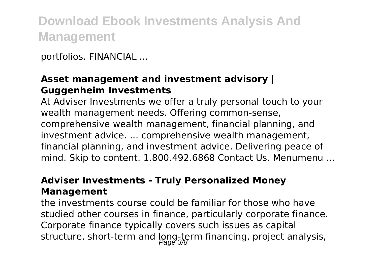portfolios. FINANCIAL ...

### **Asset management and investment advisory | Guggenheim Investments**

At Adviser Investments we offer a truly personal touch to your wealth management needs. Offering common-sense, comprehensive wealth management, financial planning, and investment advice. ... comprehensive wealth management, financial planning, and investment advice. Delivering peace of mind. Skip to content. 1.800.492.6868 Contact Us. Menumenu ...

### **Adviser Investments - Truly Personalized Money Management**

the investments course could be familiar for those who have studied other courses in finance, particularly corporate finance. Corporate finance typically covers such issues as capital structure, short-term and long-term financing, project analysis,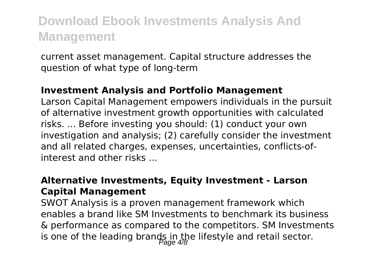current asset management. Capital structure addresses the question of what type of long-term

### **Investment Analysis and Portfolio Management**

Larson Capital Management empowers individuals in the pursuit of alternative investment growth opportunities with calculated risks. ... Before investing you should: (1) conduct your own investigation and analysis; (2) carefully consider the investment and all related charges, expenses, uncertainties, conflicts-ofinterest and other risks ...

### **Alternative Investments, Equity Investment - Larson Capital Management**

SWOT Analysis is a proven management framework which enables a brand like SM Investments to benchmark its business & performance as compared to the competitors. SM Investments is one of the leading brands in the lifestyle and retail sector.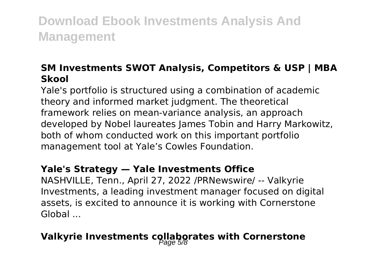### **SM Investments SWOT Analysis, Competitors & USP | MBA Skool**

Yale's portfolio is structured using a combination of academic theory and informed market judgment. The theoretical framework relies on mean-variance analysis, an approach developed by Nobel laureates James Tobin and Harry Markowitz, both of whom conducted work on this important portfolio management tool at Yale's Cowles Foundation.

### **Yale's Strategy — Yale Investments Office**

NASHVILLE, Tenn., April 27, 2022 /PRNewswire/ -- Valkyrie Investments, a leading investment manager focused on digital assets, is excited to announce it is working with Cornerstone Global ...

### **Valkyrie Investments collaborates with Cornerstone**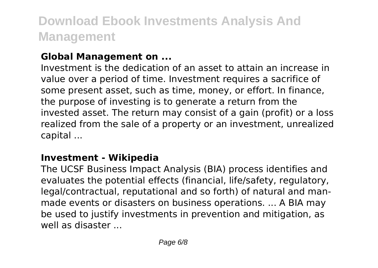### **Global Management on ...**

Investment is the dedication of an asset to attain an increase in value over a period of time. Investment requires a sacrifice of some present asset, such as time, money, or effort. In finance, the purpose of investing is to generate a return from the invested asset. The return may consist of a gain (profit) or a loss realized from the sale of a property or an investment, unrealized capital ...

### **Investment - Wikipedia**

The UCSF Business Impact Analysis (BIA) process identifies and evaluates the potential effects (financial, life/safety, regulatory, legal/contractual, reputational and so forth) of natural and manmade events or disasters on business operations. ... A BIA may be used to justify investments in prevention and mitigation, as well as disaster ...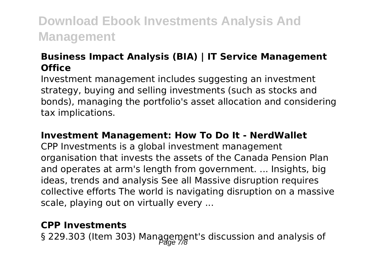### **Business Impact Analysis (BIA) | IT Service Management Office**

Investment management includes suggesting an investment strategy, buying and selling investments (such as stocks and bonds), managing the portfolio's asset allocation and considering tax implications.

### **Investment Management: How To Do It - NerdWallet**

CPP Investments is a global investment management organisation that invests the assets of the Canada Pension Plan and operates at arm's length from government. ... Insights, big ideas, trends and analysis See all Massive disruption requires collective efforts The world is navigating disruption on a massive scale, playing out on virtually every ...

### **CPP Investments**

§ 229.303 (Item 303) Management's discussion and analysis of